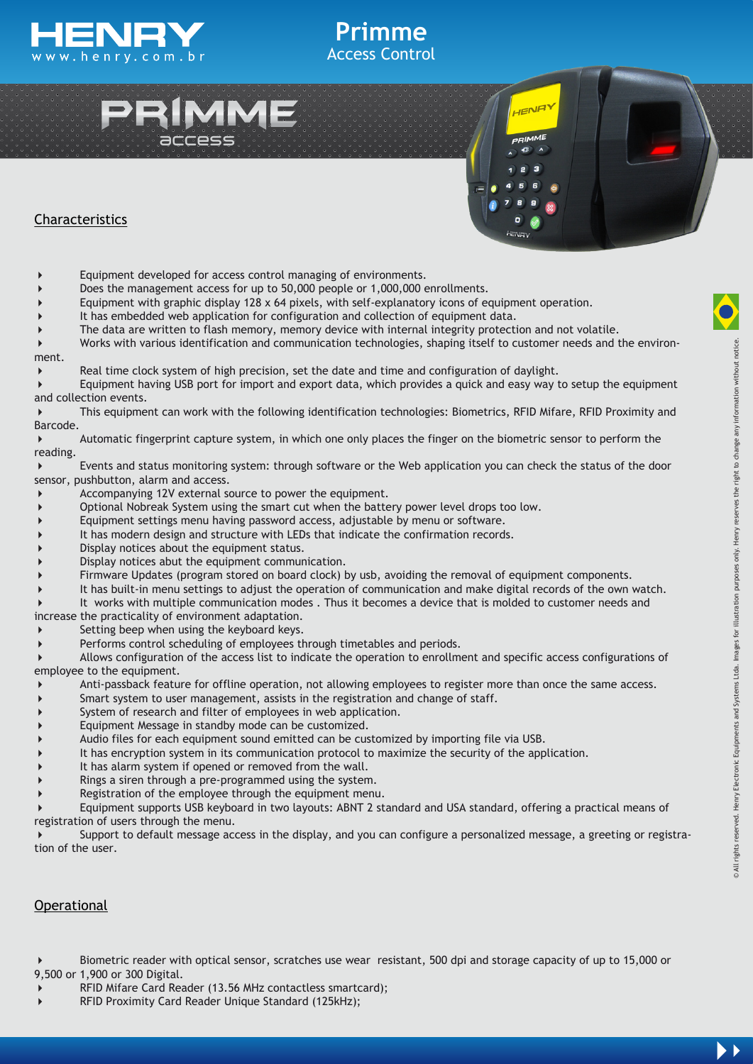





## Characteristics

- Equipment developed for access control managing of environments.
- Does the management access for up to 50,000 people or 1,000,000 enrollments.
- Equipment with graphic display 128 x 64 pixels, with self-explanatory icons of equipment operation.
- It has embedded web application for configuration and collection of equipment data.
- The data are written to flash memory, memory device with internal integrity protection and not volatile.

 Works with various identification and communication technologies, shaping itself to customer needs and the environment.

**Primme** Access Control

Real time clock system of high precision, set the date and time and configuration of daylight.

 Equipment having USB port for import and export data, which provides a quick and easy way to setup the equipment and collection events.

 This equipment can work with the following identification technologies: Biometrics, RFID Mifare, RFID Proximity and Barcode.

 Automatic fingerprint capture system, in which one only places the finger on the biometric sensor to perform the reading.

 Events and status monitoring system: through software or the Web application you can check the status of the door sensor, pushbutton, alarm and access.

- Accompanying 12V external source to power the equipment.
- Optional Nobreak System using the smart cut when the battery power level drops too low.
- Equipment settings menu having password access, adjustable by menu or software.
- It has modern design and structure with LEDs that indicate the confirmation records.
- Display notices about the equipment status.
- Display notices abut the equipment communication.
- Firmware Updates (program stored on board clock) by usb, avoiding the removal of equipment components.
- It has built-in menu settings to adjust the operation of communication and make digital records of the own watch.
- It works with multiple communication modes . Thus it becomes a device that is molded to customer needs and
- increase the practicality of environment adaptation.
- $\triangleright$  Setting beep when using the keyboard keys.
- Performs control scheduling of employees through timetables and periods.

 Allows configuration of the access list to indicate the operation to enrollment and specific access configurations of employee to the equipment.

- Anti-passback feature for offline operation, not allowing employees to register more than once the same access.
- Smart system to user management, assists in the registration and change of staff.
- System of research and filter of employees in web application.
- Equipment Message in standby mode can be customized.
- Audio files for each equipment sound emitted can be customized by importing file via USB.
- It has encryption system in its communication protocol to maximize the security of the application.
- It has alarm system if opened or removed from the wall.
- Rings a siren through a pre-programmed using the system.
- Registration of the employee through the equipment menu.

 Equipment supports USB keyboard in two layouts: ABNT 2 standard and USA standard, offering a practical means of registration of users through the menu.

 Support to default message access in the display, and you can configure a personalized message, a greeting or registration of the user.

#### **Operational**

 Biometric reader with optical sensor, scratches use wear resistant, 500 dpi and storage capacity of up to 15,000 or 9,500 or 1,900 or 300 Digital.

- RFID Mifare Card Reader (13.56 MHz contactless smartcard);
- RFID Proximity Card Reader Unique Standard (125kHz);

 $\blacktriangleright$  )